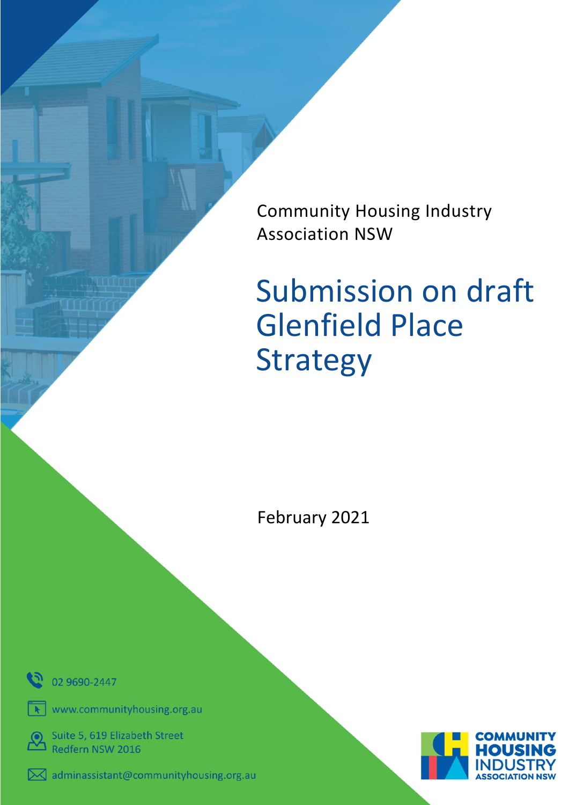Community Housing Industry Association NSW

# Submission on draft Glenfield Place Strategy

February 2021



www.communityhousing.org.au

Suite 5, 619 Elizabeth Street

Redfern NSW 2016



 $\bowtie$  adminassistant@communityhousing.org.au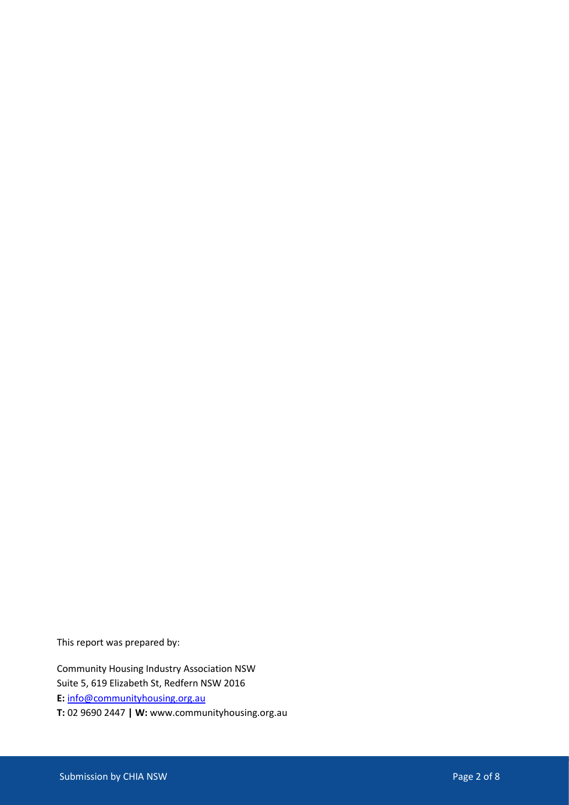This report was prepared by:

Community Housing Industry Association NSW Suite 5, 619 Elizabeth St, Redfern NSW 2016 **E:** [info@communityhousing.org.au](mailto:info@communityhousing.org.au) **T:** 02 9690 2447 **| W:** www.communityhousing.org.au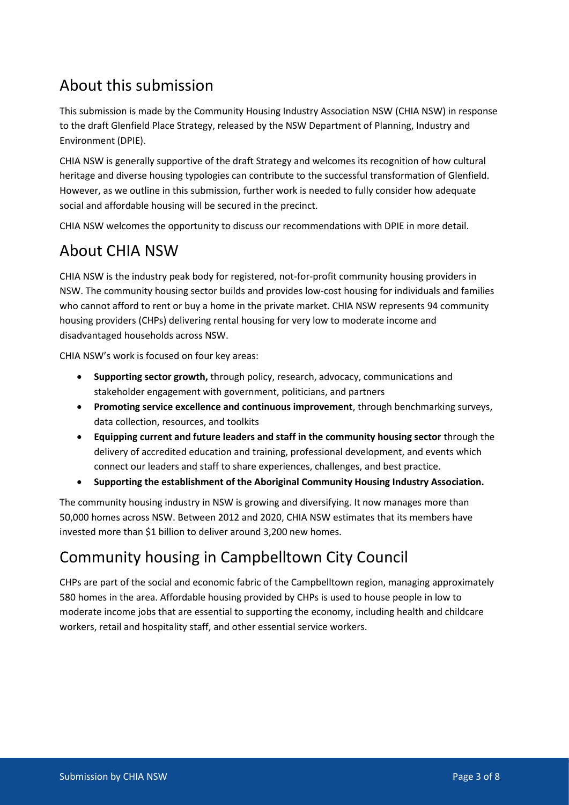## About this submission

This submission is made by the Community Housing Industry Association NSW (CHIA NSW) in response to the draft Glenfield Place Strategy, released by the NSW Department of Planning, Industry and Environment (DPIE).

CHIA NSW is generally supportive of the draft Strategy and welcomes its recognition of how cultural heritage and diverse housing typologies can contribute to the successful transformation of Glenfield. However, as we outline in this submission, further work is needed to fully consider how adequate social and affordable housing will be secured in the precinct.

CHIA NSW welcomes the opportunity to discuss our recommendations with DPIE in more detail.

## About CHIA NSW

CHIA NSW is the industry peak body for registered, not-for-profit community housing providers in NSW. The community housing sector builds and provides low-cost housing for individuals and families who cannot afford to rent or buy a home in the private market. CHIA NSW represents 94 community housing providers (CHPs) delivering rental housing for very low to moderate income and disadvantaged households across NSW.

CHIA NSW's work is focused on four key areas:

- **Supporting sector growth,** through policy, research, advocacy, communications and stakeholder engagement with government, politicians, and partners
- **Promoting service excellence and continuous improvement**, through benchmarking surveys, data collection, resources, and toolkits
- **Equipping current and future leaders and staff in the community housing sector** through the delivery of accredited education and training, professional development, and events which connect our leaders and staff to share experiences, challenges, and best practice.
- **Supporting the establishment of the Aboriginal Community Housing Industry Association.**

The community housing industry in NSW is growing and diversifying. It now manages more than 50,000 homes across NSW. Between 2012 and 2020, CHIA NSW estimates that its members have invested more than \$1 billion to deliver around 3,200 new homes.

# Community housing in Campbelltown City Council

CHPs are part of the social and economic fabric of the Campbelltown region, managing approximately 580 homes in the area. Affordable housing provided by CHPs is used to house people in low to moderate income jobs that are essential to supporting the economy, including health and childcare workers, retail and hospitality staff, and other essential service workers.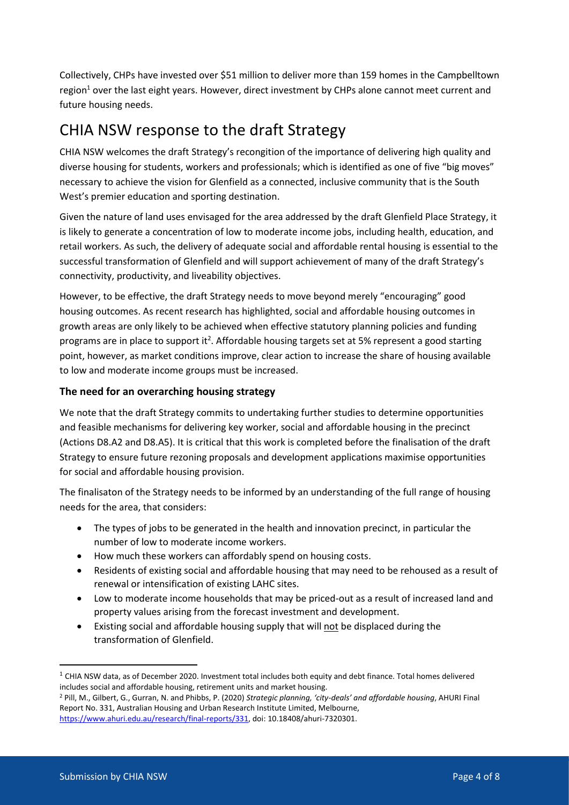Collectively, CHPs have invested over \$51 million to deliver more than 159 homes in the Campbelltown region<sup>1</sup> over the last eight years. However, direct investment by CHPs alone cannot meet current and future housing needs.

## CHIA NSW response to the draft Strategy

CHIA NSW welcomes the draft Strategy's recongition of the importance of delivering high quality and diverse housing for students, workers and professionals; which is identified as one of five "big moves" necessary to achieve the vision for Glenfield as a connected, inclusive community that is the South West's premier education and sporting destination.

Given the nature of land uses envisaged for the area addressed by the draft Glenfield Place Strategy, it is likely to generate a concentration of low to moderate income jobs, including health, education, and retail workers. As such, the delivery of adequate social and affordable rental housing is essential to the successful transformation of Glenfield and will support achievement of many of the draft Strategy's connectivity, productivity, and liveability objectives.

However, to be effective, the draft Strategy needs to move beyond merely "encouraging" good housing outcomes. As recent research has highlighted, social and affordable housing outcomes in growth areas are only likely to be achieved when effective statutory planning policies and funding programs are in place to support it<sup>2</sup>. Affordable housing targets set at 5% represent a good starting point, however, as market conditions improve, clear action to increase the share of housing available to low and moderate income groups must be increased.

## **The need for an overarching housing strategy**

We note that the draft Strategy commits to undertaking further studies to determine opportunities and feasible mechanisms for delivering key worker, social and affordable housing in the precinct (Actions D8.A2 and D8.A5). It is critical that this work is completed before the finalisation of the draft Strategy to ensure future rezoning proposals and development applications maximise opportunities for social and affordable housing provision.

The finalisaton of the Strategy needs to be informed by an understanding of the full range of housing needs for the area, that considers:

- The types of jobs to be generated in the health and innovation precinct, in particular the number of low to moderate income workers.
- How much these workers can affordably spend on housing costs.
- Residents of existing social and affordable housing that may need to be rehoused as a result of renewal or intensification of existing LAHC sites.
- Low to moderate income households that may be priced-out as a result of increased land and property values arising from the forecast investment and development.
- Existing social and affordable housing supply that will not be displaced during the transformation of Glenfield.

 $1$  CHIA NSW data, as of December 2020. Investment total includes both equity and debt finance. Total homes delivered includes social and affordable housing, retirement units and market housing.

<sup>2</sup> Pill, M., Gilbert, G., Gurran, N. and Phibbs, P. (2020) *Strategic planning, 'city-deals' and affordable housing*, AHURI Final Report No. 331, Australian Housing and Urban Research Institute Limited, Melbourne, [https://www.ahuri.edu.au/research/final-reports/331,](https://www.ahuri.edu.au/research/final-reports/331) doi: 10.18408/ahuri-7320301.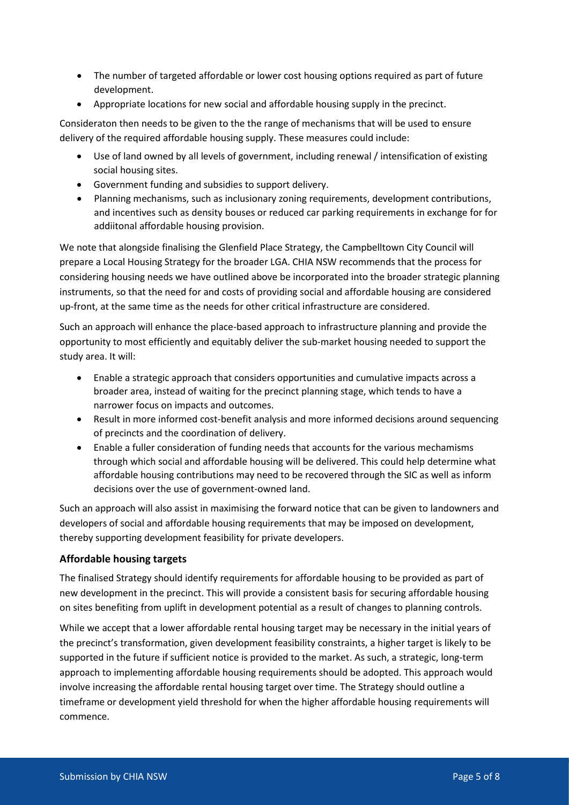- The number of targeted affordable or lower cost housing options required as part of future development.
- Appropriate locations for new social and affordable housing supply in the precinct.

Consideraton then needs to be given to the the range of mechanisms that will be used to ensure delivery of the required affordable housing supply. These measures could include:

- Use of land owned by all levels of government, including renewal / intensification of existing social housing sites.
- Government funding and subsidies to support delivery.
- Planning mechanisms, such as inclusionary zoning requirements, development contributions, and incentives such as density bouses or reduced car parking requirements in exchange for for addiitonal affordable housing provision.

We note that alongside finalising the Glenfield Place Strategy, the Campbelltown City Council will prepare a Local Housing Strategy for the broader LGA. CHIA NSW recommends that the process for considering housing needs we have outlined above be incorporated into the broader strategic planning instruments, so that the need for and costs of providing social and affordable housing are considered up-front, at the same time as the needs for other critical infrastructure are considered.

Such an approach will enhance the place-based approach to infrastructure planning and provide the opportunity to most efficiently and equitably deliver the sub-market housing needed to support the study area. It will:

- Enable a strategic approach that considers opportunities and cumulative impacts across a broader area, instead of waiting for the precinct planning stage, which tends to have a narrower focus on impacts and outcomes.
- Result in more informed cost-benefit analysis and more informed decisions around sequencing of precincts and the coordination of delivery.
- Enable a fuller consideration of funding needs that accounts for the various mechamisms through which social and affordable housing will be delivered. This could help determine what affordable housing contributions may need to be recovered through the SIC as well as inform decisions over the use of government-owned land.

Such an approach will also assist in maximising the forward notice that can be given to landowners and developers of social and affordable housing requirements that may be imposed on development, thereby supporting development feasibility for private developers.

## **Affordable housing targets**

The finalised Strategy should identify requirements for affordable housing to be provided as part of new development in the precinct. This will provide a consistent basis for securing affordable housing on sites benefiting from uplift in development potential as a result of changes to planning controls.

While we accept that a lower affordable rental housing target may be necessary in the initial years of the precinct's transformation, given development feasibility constraints, a higher target is likely to be supported in the future if sufficient notice is provided to the market. As such, a strategic, long-term approach to implementing affordable housing requirements should be adopted. This approach would involve increasing the affordable rental housing target over time. The Strategy should outline a timeframe or development yield threshold for when the higher affordable housing requirements will commence.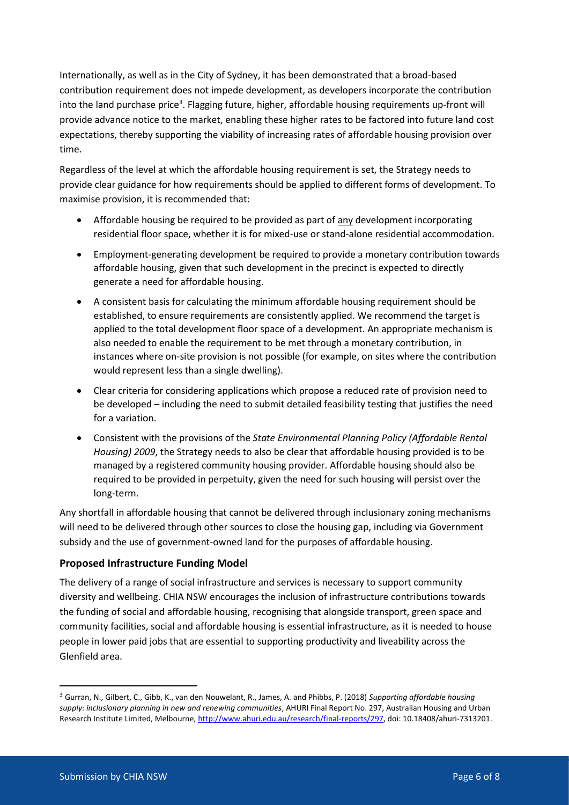Internationally, as well as in the City of Sydney, it has been demonstrated that a broad-based contribution requirement does not impede development, as developers incorporate the contribution into the land purchase price<sup>3</sup>. Flagging future, higher, affordable housing requirements up-front will provide advance notice to the market, enabling these higher rates to be factored into future land cost expectations, thereby supporting the viability of increasing rates of affordable housing provision over time.

Regardless of the level at which the affordable housing requirement is set, the Strategy needs to provide clear guidance for how requirements should be applied to different forms of development. To maximise provision, it is recommended that:

- Affordable housing be required to be provided as part of any development incorporating residential floor space, whether it is for mixed-use or stand-alone residential accommodation.
- Employment-generating development be required to provide a monetary contribution towards affordable housing, given that such development in the precinct is expected to directly generate a need for affordable housing.
- A consistent basis for calculating the minimum affordable housing requirement should be established, to ensure requirements are consistently applied. We recommend the target is applied to the total development floor space of a development. An appropriate mechanism is also needed to enable the requirement to be met through a monetary contribution, in instances where on-site provision is not possible (for example, on sites where the contribution would represent less than a single dwelling).
- Clear criteria for considering applications which propose a reduced rate of provision need to be developed – including the need to submit detailed feasibility testing that justifies the need for a variation.
- Consistent with the provisions of the *State Environmental Planning Policy (Affordable Rental Housing) 2009*, the Strategy needs to also be clear that affordable housing provided is to be managed by a registered community housing provider. Affordable housing should also be required to be provided in perpetuity, given the need for such housing will persist over the long-term.

Any shortfall in affordable housing that cannot be delivered through inclusionary zoning mechanisms will need to be delivered through other sources to close the housing gap, including via Government subsidy and the use of government-owned land for the purposes of affordable housing.

#### **Proposed Infrastructure Funding Model**

The delivery of a range of social infrastructure and services is necessary to support community diversity and wellbeing. CHIA NSW encourages the inclusion of infrastructure contributions towards the funding of social and affordable housing, recognising that alongside transport, green space and community facilities, social and affordable housing is essential infrastructure, as it is needed to house people in lower paid jobs that are essential to supporting productivity and liveability across the Glenfield area.

<sup>3</sup> Gurran, N., Gilbert, C., Gibb, K., van den Nouwelant, R., James, A. and Phibbs, P. (2018) *Supporting affordable housing supply: inclusionary planning in new and renewing communities*, AHURI Final Report No. 297, Australian Housing and Urban Research Institute Limited, Melbourne[, http://www.ahuri.edu.au/research/final-reports/297,](http://www.ahuri.edu.au/research/final-reports/297) doi: 10.18408/ahuri-7313201.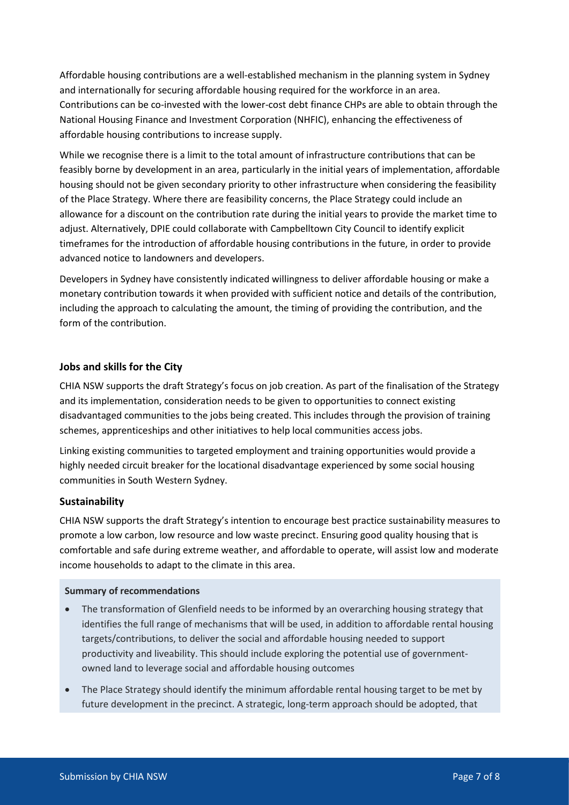Affordable housing contributions are a well-established mechanism in the planning system in Sydney and internationally for securing affordable housing required for the workforce in an area. Contributions can be co-invested with the lower-cost debt finance CHPs are able to obtain through the National Housing Finance and Investment Corporation (NHFIC), enhancing the effectiveness of affordable housing contributions to increase supply.

While we recognise there is a limit to the total amount of infrastructure contributions that can be feasibly borne by development in an area, particularly in the initial years of implementation, affordable housing should not be given secondary priority to other infrastructure when considering the feasibility of the Place Strategy. Where there are feasibility concerns, the Place Strategy could include an allowance for a discount on the contribution rate during the initial years to provide the market time to adjust. Alternatively, DPIE could collaborate with Campbelltown City Council to identify explicit timeframes for the introduction of affordable housing contributions in the future, in order to provide advanced notice to landowners and developers.

Developers in Sydney have consistently indicated willingness to deliver affordable housing or make a monetary contribution towards it when provided with sufficient notice and details of the contribution, including the approach to calculating the amount, the timing of providing the contribution, and the form of the contribution.

#### **Jobs and skills for the City**

CHIA NSW supports the draft Strategy's focus on job creation. As part of the finalisation of the Strategy and its implementation, consideration needs to be given to opportunities to connect existing disadvantaged communities to the jobs being created. This includes through the provision of training schemes, apprenticeships and other initiatives to help local communities access jobs.

Linking existing communities to targeted employment and training opportunities would provide a highly needed circuit breaker for the locational disadvantage experienced by some social housing communities in South Western Sydney.

#### **Sustainability**

CHIA NSW supports the draft Strategy's intention to encourage best practice sustainability measures to promote a low carbon, low resource and low waste precinct. Ensuring good quality housing that is comfortable and safe during extreme weather, and affordable to operate, will assist low and moderate income households to adapt to the climate in this area.

#### **Summary of recommendations**

- The transformation of Glenfield needs to be informed by an overarching housing strategy that identifies the full range of mechanisms that will be used, in addition to affordable rental housing targets/contributions, to deliver the social and affordable housing needed to support productivity and liveability. This should include exploring the potential use of governmentowned land to leverage social and affordable housing outcomes
- The Place Strategy should identify the minimum affordable rental housing target to be met by future development in the precinct. A strategic, long-term approach should be adopted, that